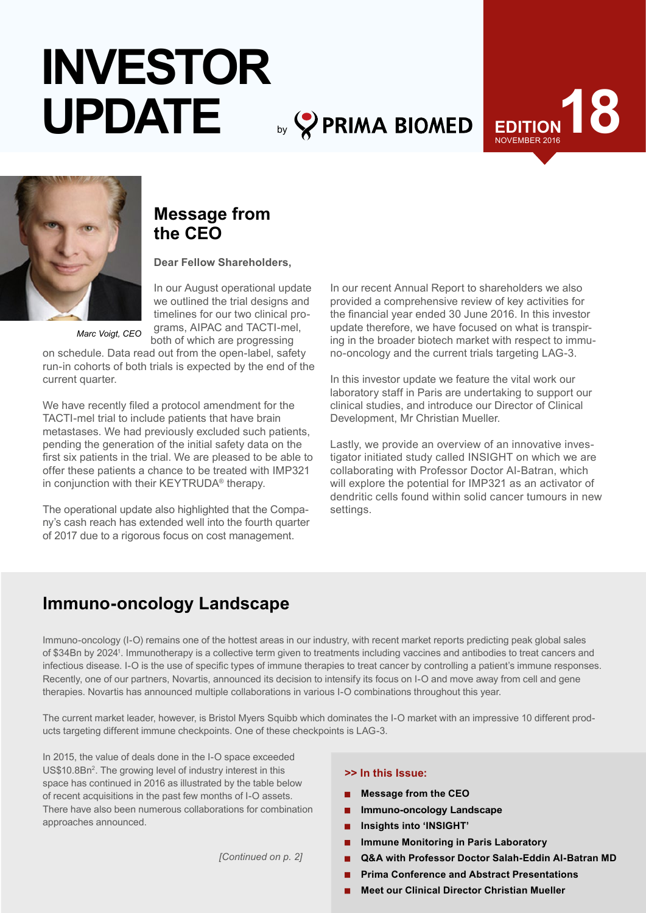# by **PRIMA BIOMED** EDITION **INVESTOR UPDATE**





# **Message from the CEO**

**Dear Fellow Shareholders,**

In our August operational update we outlined the trial designs and timelines for our two clinical programs, AIPAC and TACTI-mel, both of which are progressing

*Marc Voigt, CEO*

on schedule. Data read out from the open-label, safety run-in cohorts of both trials is expected by the end of the current quarter.

We have recently filed a protocol amendment for the TACTI-mel trial to include patients that have brain metastases. We had previously excluded such patients, pending the generation of the initial safety data on the first six patients in the trial. We are pleased to be able to offer these patients a chance to be treated with IMP321 in conjunction with their KEYTRUDA® therapy.

The operational update also highlighted that the Company's cash reach has extended well into the fourth quarter of 2017 due to a rigorous focus on cost management.

In our recent Annual Report to shareholders we also provided a comprehensive review of key activities for the financial year ended 30 June 2016. In this investor update therefore, we have focused on what is transpiring in the broader biotech market with respect to immuno-oncology and the current trials targeting LAG-3.

In this investor update we feature the vital work our laboratory staff in Paris are undertaking to support our clinical studies, and introduce our Director of Clinical Development, Mr Christian Mueller.

Lastly, we provide an overview of an innovative investigator initiated study called INSIGHT on which we are collaborating with Professor Doctor Al-Batran, which will explore the potential for IMP321 as an activator of dendritic cells found within solid cancer tumours in new settings.

# **Immuno-oncology Landscape**

Immuno-oncology (I-O) remains one of the hottest areas in our industry, with recent market reports predicting peak global sales of \$34Bn by 2024<sup>1</sup> . Immunotherapy is a collective term given to treatments including vaccines and antibodies to treat cancers and infectious disease. I-O is the use of specific types of immune therapies to treat cancer by controlling a patient's immune responses. Recently, one of our partners, Novartis, announced its decision to intensify its focus on I-O and move away from cell and gene therapies. Novartis has announced multiple collaborations in various I-O combinations throughout this year.

The current market leader, however, is Bristol Myers Squibb which dominates the I-O market with an impressive 10 different products targeting different immune checkpoints. One of these checkpoints is LAG-3.

In 2015, the value of deals done in the I-O space exceeded US\$10.8Bn<sup>2</sup>. The growing level of industry interest in this space has continued in 2016 as illustrated by the table below of recent acquisitions in the past few months of I-O assets. There have also been numerous collaborations for combination approaches announced.

*[Continued on p. 2]*

#### **>> In this Issue:**

- **Message from the CEO**
- **Immuno-oncology Landscape**
- **Insights into 'INSIGHT'**
- **Immune Monitoring in Paris Laboratory**
- **Q&A with Professor Doctor Salah-Eddin Al-Batran MD**
- **Prima Conference and Abstract Presentations**
- 5 **Meet our Clinical Director Christian Mueller**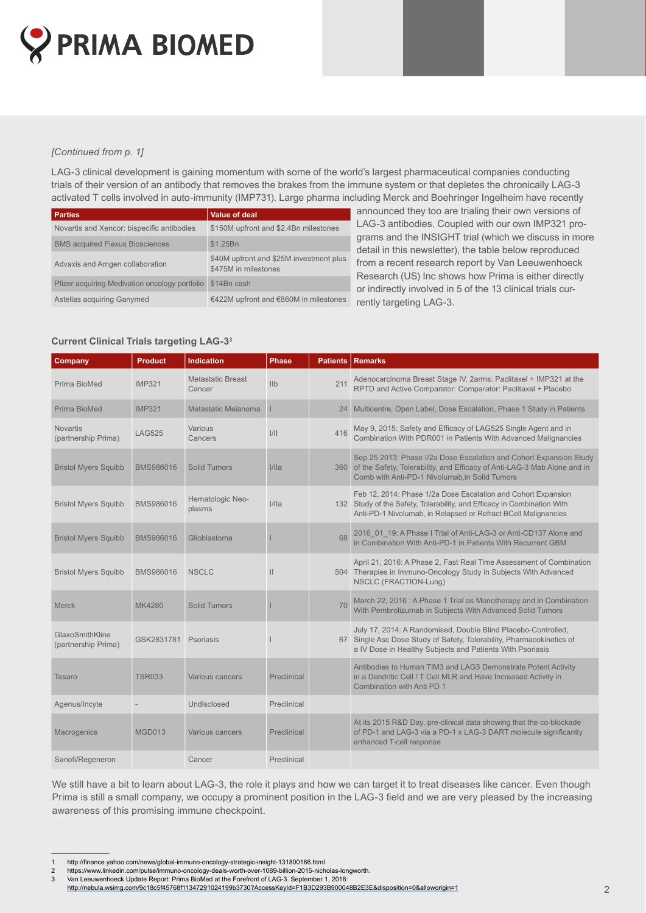

#### *[Continued from p. 1]*

LAG-3 clinical development is gaining momentum with some of the world's largest pharmaceutical companies conducting trials of their version of an antibody that removes the brakes from the immune system or that depletes the chronically LAG-3 activated T cells involved in auto-immunity (IMP731). Large pharma including Merck and Boehringer Ingelheim have recently

| <b>Parties</b>                                 | Value of deal                                                   |
|------------------------------------------------|-----------------------------------------------------------------|
| Novartis and Xencor: bispecific antibodies     | \$150M upfront and \$2.4Bn milestones                           |
| <b>BMS acquired Flexus Biosciences</b>         | \$1.25Bn                                                        |
| Advaxis and Amgen collaboration                | \$40M upfront and \$25M investment plus<br>\$475M in milestones |
| Pfizer acquiring Medivation oncology portfolio | \$14Bn cash                                                     |
| Astellas acquiring Ganymed                     | €422M upfront and €860M in milestones                           |

announced they too are trialing their own versions of LAG-3 antibodies. Coupled with our own IMP321 programs and the INSIGHT trial (which we discuss in more detail in this newsletter), the table below reproduced from a recent research report by Van Leeuwenhoeck Research (US) Inc shows how Prima is either directly or indirectly involved in 5 of the 13 clinical trials currently targeting LAG-3.

#### **Current Clinical Trials targeting LAG-33**

| Company                                | <b>Product</b>       | <b>Indication</b>                  | <b>Phase</b>   |     | <b>Patients   Remarks</b>                                                                                                                                                                                  |
|----------------------------------------|----------------------|------------------------------------|----------------|-----|------------------------------------------------------------------------------------------------------------------------------------------------------------------------------------------------------------|
| Prima BioMed                           | <b>IMP321</b>        | <b>Metastatic Breast</b><br>Cancer | I <sub>1</sub> | 211 | Adenocarcinoma Breast Stage IV. 2arms: Paclitaxel + IMP321 at the<br>RPTD and Active Comparator: Comparator: Paclitaxel + Placebo                                                                          |
| Prima BioMed                           | <b>IMP321</b>        | Metastatic Melanoma                |                | 24  | Multicentre, Open Label, Dose Escalation, Phase 1 Study in Patients                                                                                                                                        |
| <b>Novartis</b><br>(partnership Prima) | <b>LAG525</b>        | Various<br>Cancers                 | 1/11           | 416 | May 9, 2015: Safety and Efficacy of LAG525 Single Agent and in<br>Combination With PDR001 in Patients With Advanced Malignancies                                                                           |
| <b>Bristol Myers Squibb</b>            | BMS986016            | Solid Tumors                       | I/IIa          |     | Sep 25 2013: Phase I/2a Dose Escalation and Cohort Expansion Study<br>360 of the Safety, Tolerability, and Efficacy of Anti-LAG-3 Mab Alone and in<br>Comb with Anti-PD-1 Nivolumab.in Solid Tumors        |
| <b>Bristol Myers Squibb</b>            | <b>BMS986016</b>     | Hematologic Neo-<br>plasms         | I/IIa          |     | Feb 12, 2014: Phase 1/2a Dose Escalation and Cohort Expansion<br>132 Study of the Safety, Tolerability, and Efficacy in Combination With<br>Anti-PD-1 Nivolumab, in Relapsed or Refract BCell Malignancies |
| <b>Bristol Myers Squibb</b>            | <b>BMS986016</b>     | Glioblastoma                       |                | 68  | 2016_01_19: A Phase I Trial of Anti-LAG-3 or Anti-CD137 Alone and<br>in Combination With Anti-PD-1 in Patients With Recurrent GBM                                                                          |
| <b>Bristol Myers Squibb</b>            | <b>BMS986016</b>     | <b>NSCLC</b>                       | $\mathbf{I}$   |     | April 21, 2016: A Phase 2, Fast Real Time Assessment of Combination<br>504 Therapies in Immuno-Oncology Study in Subjects With Advanced<br>NSCLC (FRACTION-Lung)                                           |
| <b>Merck</b>                           | MK4280               | Solid Tumors                       |                | 70  | March 22, 2016 : A Phase 1 Trial as Monotherapy and in Combination<br>With Pembrolizumab in Subjects With Advanced Solid Tumors                                                                            |
| GlaxoSmithKline<br>(partnership Prima) | GSK2831781 Psoriasis |                                    |                |     | July 17, 2014: A Randomised, Double Blind Placebo-Controlled,<br>67 Single Asc Dose Study of Safety, Tolerability, Pharmacokinetics of<br>a IV Dose in Healthy Subjects and Patients With Psoriasis        |
| Tesaro                                 | <b>TSR033</b>        | Various cancers                    | Preclinical    |     | Antibodies to Human TIM3 and LAG3 Demonstrate Potent Activity<br>in a Dendritic Cell / T Cell MLR and Have Increased Activity in<br>Combination with Anti PD 1                                             |
| Agenus/Incyte                          |                      | Undisclosed                        | Preclinical    |     |                                                                                                                                                                                                            |
| Macrogenics                            | MGD013               | Various cancers                    | Preclinical    |     | At its 2015 R&D Day, pre-clinical data showing that the co-blockade<br>of PD-1 and LAG-3 via a PD-1 x LAG-3 DART molecule significantly<br>enhanced T-cell response                                        |
| Sanofi/Regeneron                       |                      | Cancer                             | Preclinical    |     |                                                                                                                                                                                                            |

We still have a bit to learn about LAG-3, the role it plays and how we can target it to treat diseases like cancer. Even though Prima is still a small company, we occupy a prominent position in the LAG-3 field and we are very pleased by the increasing awareness of this promising immune checkpoint.

––––––––––––––––

http://nebula.wsimg.com/9c18c5f45768f11347291024199b3730?AccessKeyId=F1B3D293B900048B2E3E&disposition=0&alloworigin=1

<sup>1</sup> http://finance.yahoo.com/news/global-immuno-oncology-strategic-insight-131800166.html

<sup>2</sup> https://www.linkedin.com/pulse/immuno-oncology-deals-worth-over-1089-billion-2015-nicholas-longworth.

<sup>3</sup> Van Leeuwenhoeck Update Report: Prima BioMed at the Forefront of LAG-3. September 1, 2016: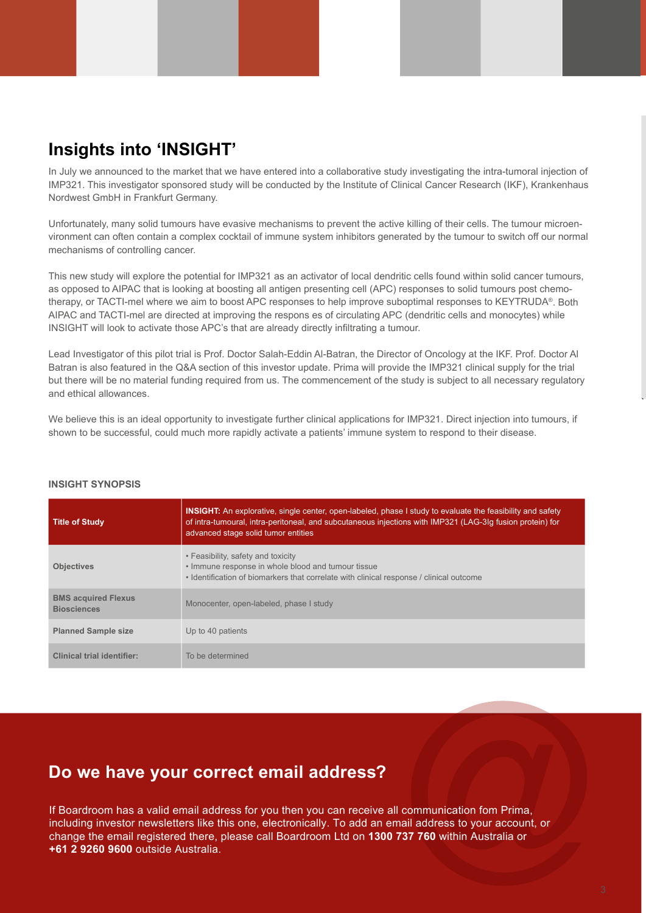# **Insights into 'INSIGHT'**

In July we announced to the market that we have entered into a collaborative study investigating the intra-tumoral injection of IMP321. This investigator sponsored study will be conducted by the Institute of Clinical Cancer Research (IKF), Krankenhaus Nordwest GmbH in Frankfurt Germany.

Unfortunately, many solid tumours have evasive mechanisms to prevent the active killing of their cells. The tumour microenvironment can often contain a complex cocktail of immune system inhibitors generated by the tumour to switch off our normal mechanisms of controlling cancer.

This new study will explore the potential for IMP321 as an activator of local dendritic cells found within solid cancer tumours, as opposed to AIPAC that is looking at boosting all antigen presenting cell (APC) responses to solid tumours post chemotherapy, or TACTI-mel where we aim to boost APC responses to help improve suboptimal responses to KEYTRUDA®. Both AIPAC and TACTI-mel are directed at improving the respons es of circulating APC (dendritic cells and monocytes) while INSIGHT will look to activate those APC's that are already directly infiltrating a tumour.

Lead Investigator of this pilot trial is Prof. Doctor Salah-Eddin Al-Batran, the Director of Oncology at the IKF. Prof. Doctor Al Batran is also featured in the Q&A section of this investor update. Prima will provide the IMP321 clinical supply for the trial but there will be no material funding required from us. The commencement of the study is subject to all necessary regulatory and ethical allowances.

We believe this is an ideal opportunity to investigate further clinical applications for IMP321. Direct injection into tumours, if shown to be successful, could much more rapidly activate a patients' immune system to respond to their disease.

| Title of Study                                   | <b>INSIGHT:</b> An explorative, single center, open-labeled, phase I study to evaluate the feasibility and safety<br>of intra-tumoural, intra-peritoneal, and subcutaneous injections with IMP321 (LAG-3Iq fusion protein) for<br>advanced stage solid tumor entities |
|--------------------------------------------------|-----------------------------------------------------------------------------------------------------------------------------------------------------------------------------------------------------------------------------------------------------------------------|
| <b>Objectives</b>                                | • Feasibility, safety and toxicity<br>• Immune response in whole blood and tumour tissue<br>• Identification of biomarkers that correlate with clinical response / clinical outcome                                                                                   |
| <b>BMS acquired Flexus</b><br><b>Biosciences</b> | Monocenter, open-labeled, phase I study                                                                                                                                                                                                                               |
| <b>Planned Sample size</b>                       | Up to 40 patients                                                                                                                                                                                                                                                     |
| <b>Clinical trial identifier:</b>                | To be determined                                                                                                                                                                                                                                                      |

#### **INSIGHT SYNOPSIS**

## **Do we have your correct email address?**

If Boardroom has a valid email address for you then you can receive all communication fom Prima, including investor newsletters like this one, electronically. To add an email address to your account, or change the email registered there, please call Boardroom Ltd on **1300 737 760** within Australia or **+61 2 9260 9600** outside Australia.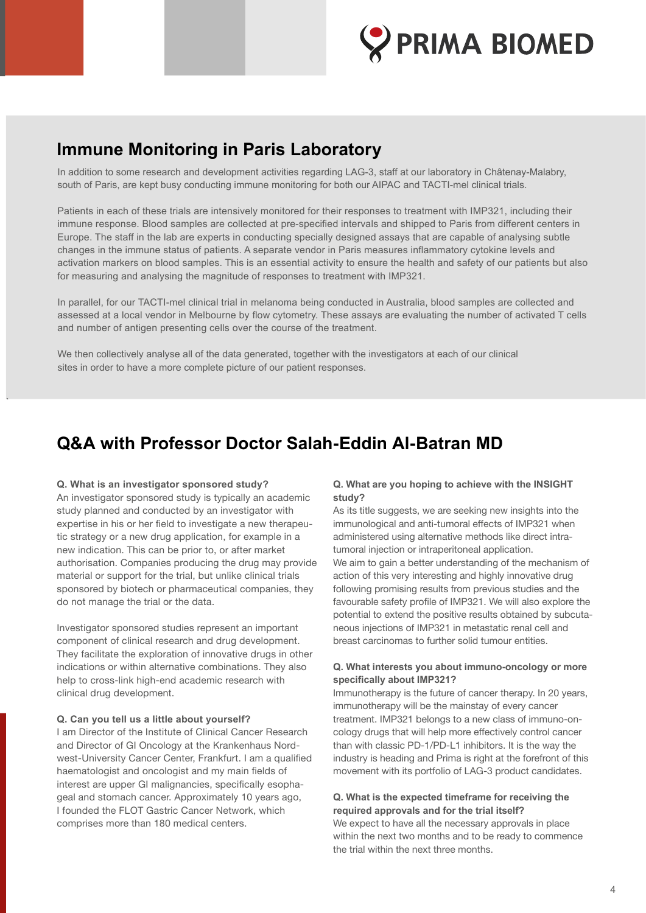

# **Immune Monitoring in Paris Laboratory**

In addition to some research and development activities regarding LAG-3, staff at our laboratory in Châtenay-Malabry, south of Paris, are kept busy conducting immune monitoring for both our AIPAC and TACTI-mel clinical trials.

Patients in each of these trials are intensively monitored for their responses to treatment with IMP321, including their immune response. Blood samples are collected at pre-specified intervals and shipped to Paris from different centers in Europe. The staff in the lab are experts in conducting specially designed assays that are capable of analysing subtle changes in the immune status of patients. A separate vendor in Paris measures inflammatory cytokine levels and activation markers on blood samples. This is an essential activity to ensure the health and safety of our patients but also for measuring and analysing the magnitude of responses to treatment with IMP321.

In parallel, for our TACTI-mel clinical trial in melanoma being conducted in Australia, blood samples are collected and assessed at a local vendor in Melbourne by flow cytometry. These assays are evaluating the number of activated T cells and number of antigen presenting cells over the course of the treatment.

We then collectively analyse all of the data generated, together with the investigators at each of our clinical sites in order to have a more complete picture of our patient responses.

# **Q&A with Professor Doctor Salah-Eddin Al-Batran MD**

#### **Q. What is an investigator sponsored study?**

An investigator sponsored study is typically an academic study planned and conducted by an investigator with expertise in his or her field to investigate a new therapeutic strategy or a new drug application, for example in a new indication. This can be prior to, or after market authorisation. Companies producing the drug may provide material or support for the trial, but unlike clinical trials sponsored by biotech or pharmaceutical companies, they do not manage the trial or the data.

Investigator sponsored studies represent an important component of clinical research and drug development. They facilitate the exploration of innovative drugs in other indications or within alternative combinations. They also help to cross-link high-end academic research with clinical drug development.

#### **Q. Can you tell us a little about yourself?**

I am Director of the Institute of Clinical Cancer Research and Director of GI Oncology at the Krankenhaus Nordwest-University Cancer Center, Frankfurt. I am a qualified haematologist and oncologist and my main fields of interest are upper GI malignancies, specifically esophageal and stomach cancer. Approximately 10 years ago, I founded the FLOT Gastric Cancer Network, which comprises more than 180 medical centers.

#### **Q. What are you hoping to achieve with the INSIGHT study?**

As its title suggests, we are seeking new insights into the immunological and anti-tumoral effects of IMP321 when administered using alternative methods like direct intratumoral injection or intraperitoneal application. We aim to gain a better understanding of the mechanism of action of this very interesting and highly innovative drug following promising results from previous studies and the favourable safety profile of IMP321. We will also explore the potential to extend the positive results obtained by subcutaneous injections of IMP321 in metastatic renal cell and breast carcinomas to further solid tumour entities.

#### **Q. What interests you about immuno-oncology or more specifically about IMP321?**

Immunotherapy is the future of cancer therapy. In 20 years, immunotherapy will be the mainstay of every cancer treatment. IMP321 belongs to a new class of immuno-oncology drugs that will help more effectively control cancer than with classic PD-1/PD-L1 inhibitors. It is the way the industry is heading and Prima is right at the forefront of this movement with its portfolio of LAG-3 product candidates.

#### **Q. What is the expected timeframe for receiving the required approvals and for the trial itself?**

We expect to have all the necessary approvals in place within the next two months and to be ready to commence the trial within the next three months.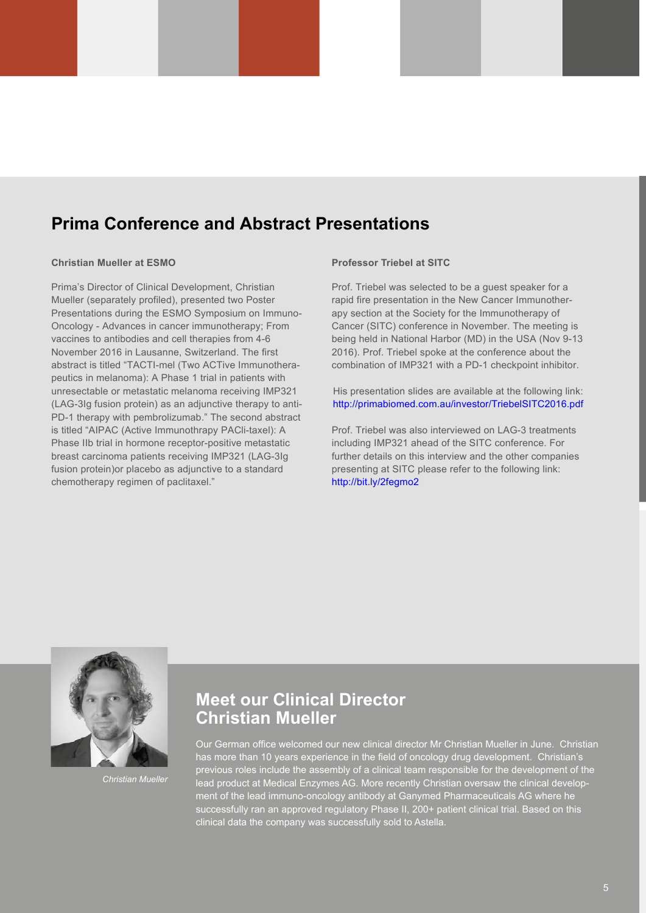# **Prima Conference and Abstract Presentations**

#### **Christian Mueller at ESMO**

Prima's Director of Clinical Development, Christian Mueller (separately profiled), presented two Poster Presentations during the ESMO Symposium on Immuno-Oncology - Advances in cancer immunotherapy; From vaccines to antibodies and cell therapies from 4-6 November 2016 in Lausanne, Switzerland. The first abstract is titled "TACTI-mel (Two ACTive Immunotherapeutics in melanoma): A Phase 1 trial in patients with unresectable or metastatic melanoma receiving IMP321 (LAG-3Ig fusion protein) as an adjunctive therapy to anti-PD-1 therapy with pembrolizumab." The second abstract is titled "AIPAC (Active Immunothrapy PACli-taxel): A Phase IIb trial in hormone receptor-positive metastatic breast carcinoma patients receiving IMP321 (LAG-3Ig fusion protein)or placebo as adjunctive to a standard chemotherapy regimen of paclitaxel."

#### **Professor Triebel at SITC**

Prof. Triebel was selected to be a guest speaker for a rapid fire presentation in the New Cancer Immunotherapy section at the Society for the Immunotherapy of Cancer (SITC) conference in November. The meeting is being held in National Harbor (MD) in the USA (Nov 9-13 2016). Prof. Triebel spoke at the conference about the combination of IMP321 with a PD-1 checkpoint inhibitor.

His presentation slides are available at the following link: http://primabiomed.com.au/investor/TriebelSITC2016.pdf

Prof. Triebel was also interviewed on LAG-3 treatments including IMP321 ahead of the SITC conference. For further details on this interview and the other companies presenting at SITC please refer to the following link: http://bit.ly/2fegmo2



*Christian Mueller*

## **Meet our Clinical Director Christian Mueller**

Our German office welcomed our new clinical director Mr Christian Mueller in June. Christian has more than 10 years experience in the field of oncology drug development. Christian's previous roles include the assembly of a clinical team responsible for the development of the lead product at Medical Enzymes AG. More recently Christian oversaw the clinical development of the lead immuno-oncology antibody at Ganymed Pharmaceuticals AG where he successfully ran an approved regulatory Phase II, 200+ patient clinical trial. Based on this clinical data the company was successfully sold to Astella.

**´ ´**